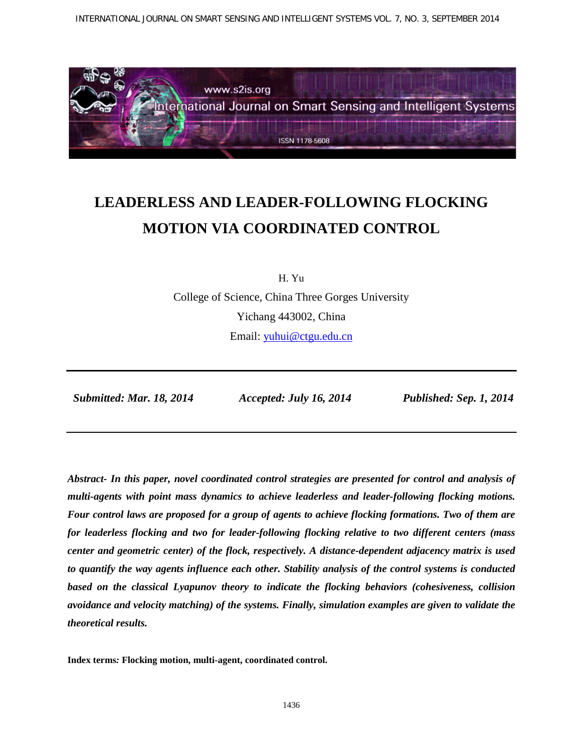INTERNATIONAL JOURNAL ON SMART SENSING AND INTELLIGENT SYSTEMS VOL. 7, NO. 3, SEPTEMBER 2014



# **LEADERLESS AND LEADER-FOLLOWING FLOCKING MOTION VIA COORDINATED CONTROL**

H. Yu

College of Science, China Three Gorges University Yichang 443002, China Email: [yuhui@ctgu.edu.cn](mailto:yuhui@ctgu.edu.cn)

*Submitted: Mar. 18, 2014 Accepted: July 16, 2014 Published: Sep. 1, 2014*

*Abstract- In this paper, novel coordinated control strategies are presented for control and analysis of multi-agents with point mass dynamics to achieve leaderless and leader-following flocking motions. Four control laws are proposed for a group of agents to achieve flocking formations. Two of them are for leaderless flocking and two for leader-following flocking relative to two different centers (mass center and geometric center) of the flock, respectively. A distance-dependent adjacency matrix is used to quantify the way agents influence each other. Stability analysis of the control systems is conducted based on the classical Lyapunov theory to indicate the flocking behaviors (cohesiveness, collision avoidance and velocity matching) of the systems. Finally, simulation examples are given to validate the theoretical results.*

**Index terms***:* **Flocking motion, multi-agent, coordinated control.**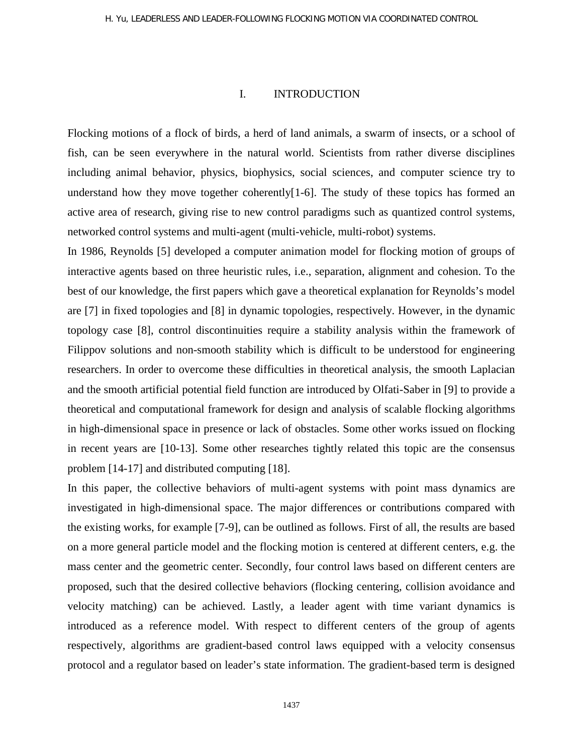## I. INTRODUCTION

Flocking motions of a flock of birds, a herd of land animals, a swarm of insects, or a school of fish, can be seen everywhere in the natural world. Scientists from rather diverse disciplines including animal behavior, physics, biophysics, social sciences, and computer science try to understand how they move together coherently[1-6]. The study of these topics has formed an active area of research, giving rise to new control paradigms such as quantized control systems, networked control systems and multi-agent (multi-vehicle, multi-robot) systems.

In 1986, Reynolds [5] developed a computer animation model for flocking motion of groups of interactive agents based on three heuristic rules, i.e., separation, alignment and cohesion. To the best of our knowledge, the first papers which gave a theoretical explanation for Reynolds's model are [7] in fixed topologies and [8] in dynamic topologies, respectively. However, in the dynamic topology case [8], control discontinuities require a stability analysis within the framework of Filippov solutions and non-smooth stability which is difficult to be understood for engineering researchers. In order to overcome these difficulties in theoretical analysis, the smooth Laplacian and the smooth artificial potential field function are introduced by Olfati-Saber in [9] to provide a theoretical and computational framework for design and analysis of scalable flocking algorithms in high-dimensional space in presence or lack of obstacles. Some other works issued on flocking in recent years are [10-13]. Some other researches tightly related this topic are the consensus problem [14-17] and distributed computing [18].

In this paper, the collective behaviors of multi-agent systems with point mass dynamics are investigated in high-dimensional space. The major differences or contributions compared with the existing works, for example [7-9], can be outlined as follows. First of all, the results are based on a more general particle model and the flocking motion is centered at different centers, e.g. the mass center and the geometric center. Secondly, four control laws based on different centers are proposed, such that the desired collective behaviors (flocking centering, collision avoidance and velocity matching) can be achieved. Lastly, a leader agent with time variant dynamics is introduced as a reference model. With respect to different centers of the group of agents respectively, algorithms are gradient-based control laws equipped with a velocity consensus protocol and a regulator based on leader's state information. The gradient-based term is designed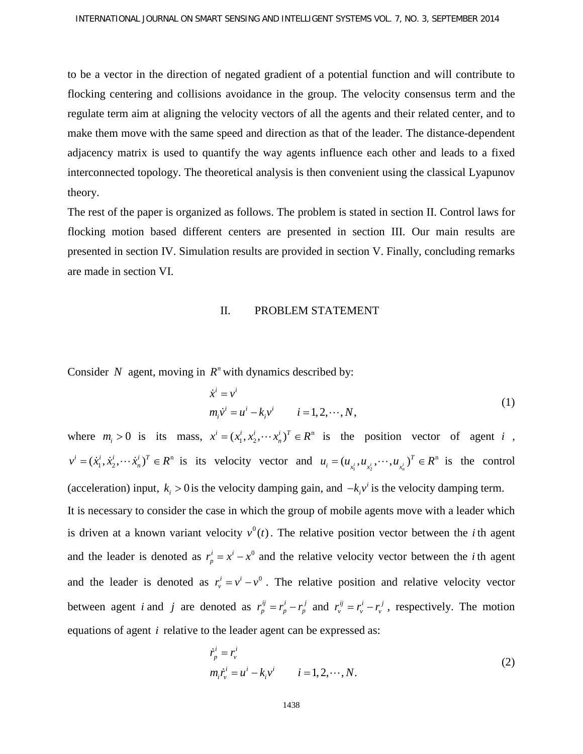to be a vector in the direction of negated gradient of a potential function and will contribute to flocking centering and collisions avoidance in the group. The velocity consensus term and the regulate term aim at aligning the velocity vectors of all the agents and their related center, and to make them move with the same speed and direction as that of the leader. The distance-dependent adjacency matrix is used to quantify the way agents influence each other and leads to a fixed interconnected topology. The theoretical analysis is then convenient using the classical Lyapunov theory.

The rest of the paper is organized as follows. The problem is stated in section II. Control laws for flocking motion based different centers are presented in section III. Our main results are presented in section IV. Simulation results are provided in section V. Finally, concluding remarks are made in section VI.

## II. PROBLEM STATEMENT

Consider *N* agent, moving in  $R<sup>n</sup>$  with dynamics described by:

$$
\dot{x}^{i} = v^{i}
$$
  
\n
$$
m_{i} \dot{v}^{i} = u^{i} - k_{i} v^{i}
$$
  $i = 1, 2, \dots, N,$  (1)

where  $m_i > 0$  is its mass,  $x^i = (x_1^i, x_2^i, \dots, x_n^i)^T \in \mathbb{R}^n$  is the position vector of agent *i*,  $v^i = (\dot{x}_1^i, \dot{x}_2^i, \dots, \dot{x}_n^i)^T \in R^n$  is its velocity vector and  $u_i = (u_{x_1^i}, u_{x_2^i}, \dots, u_{x_n^i})^T \in R^n$  is the control (acceleration) input,  $k_i > 0$  is the velocity damping gain, and  $-k_i v^i$  is the velocity damping term. It is necessary to consider the case in which the group of mobile agents move with a leader which is driven at a known variant velocity  $v^0(t)$ . The relative position vector between the *i* th agent and the leader is denoted as  $r_p^i = x^i - x^0$  and the relative velocity vector between the *i* th agent and the leader is denoted as  $r_v^i = v^i - v^0$ . The relative position and relative velocity vector between agent *i* and *j* are denoted as  $r_p^{ij} = r_p^i - r_p^j$  and  $r_v^{ij} = r_v^i - r_v^j$ , respectively. The motion equations of agent *i* relative to the leader agent can be expressed as:

$$
\dot{r}_p^i = r_v^i
$$
  
\n
$$
m_i \dot{r}_v^i = u^i - k_i v^i \qquad i = 1, 2, \cdots, N.
$$
\n(2)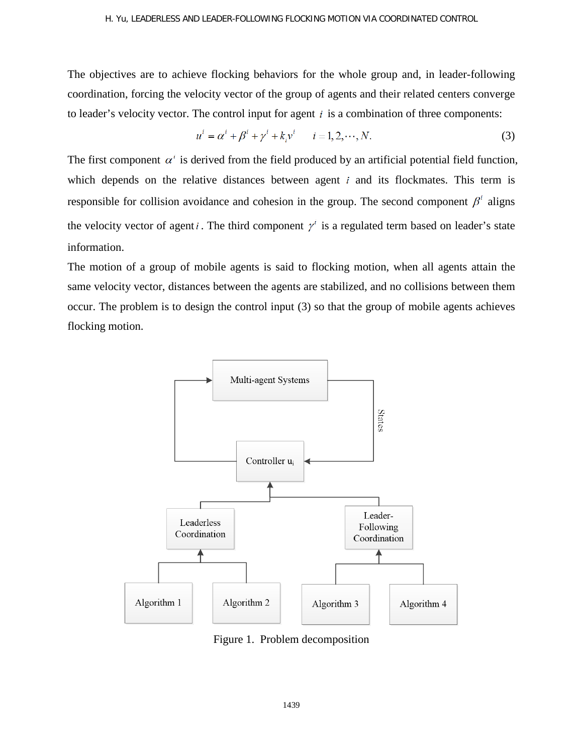## H. Yu, LEADERLESS AND LEADER-FOLLOWING FLOCKING MOTION VIA COORDINATED CONTROL

The objectives are to achieve flocking behaviors for the whole group and, in leader-following coordination, forcing the velocity vector of the group of agents and their related centers converge to leader's velocity vector. The control input for agent  $i$  is a combination of three components:

$$
u^{i} = \alpha^{i} + \beta^{i} + \gamma^{i} + k_{i}v^{i} \qquad i = 1, 2, \cdots, N.
$$
 (3)

The first component  $\alpha^i$  is derived from the field produced by an artificial potential field function, which depends on the relative distances between agent  $i$  and its flockmates. This term is responsible for collision avoidance and cohesion in the group. The second component  $\beta^i$  aligns the velocity vector of agent *i*. The third component  $\gamma^i$  is a regulated term based on leader's state information.

The motion of a group of mobile agents is said to flocking motion, when all agents attain the same velocity vector, distances between the agents are stabilized, and no collisions between them occur. The problem is to design the control input (3) so that the group of mobile agents achieves flocking motion.



Figure 1. Problem decomposition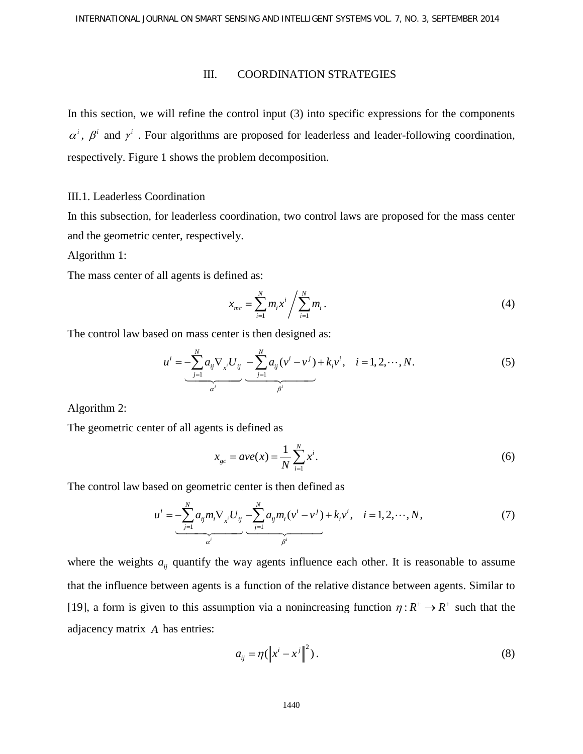## III. COORDINATION STRATEGIES

In this section, we will refine the control input (3) into specific expressions for the components  $\alpha^i$ ,  $\beta^i$  and  $\gamma^i$ . Four algorithms are proposed for leaderless and leader-following coordination, respectively. Figure 1 shows the problem decomposition.

## III.1. Leaderless Coordination

In this subsection, for leaderless coordination, two control laws are proposed for the mass center and the geometric center, respectively.

Algorithm 1:

The mass center of all agents is defined as:

$$
x_{mc} = \sum_{i=1}^{N} m_i x^i / \sum_{i=1}^{N} m_i.
$$
 (4)

The control law based on mass center is then designed as:

$$
u^{i} = \underbrace{-\sum_{j=1}^{N} a_{ij} \nabla_{x^{i}} U_{ij}}_{\alpha^{i}} - \underbrace{-\sum_{j=1}^{N} a_{ij} (v^{i} - v^{j}) + k_{i} v^{i}}_{\beta^{i}}, \quad i = 1, 2, \cdots, N.
$$
 (5)

Algorithm 2:

The geometric center of all agents is defined as

$$
x_{gc} = ave(x) = \frac{1}{N} \sum_{i=1}^{N} x^{i}.
$$
 (6)

The control law based on geometric center is then defined as

$$
u^{i} = -\sum_{j=1}^{N} a_{ij} m_{i} \nabla_{x^{i}} U_{ij} - \sum_{j=1}^{N} a_{ij} m_{i} (v^{i} - v^{j}) + k_{i} v^{i}, \quad i = 1, 2, \cdots, N,
$$
 (7)

where the weights  $a_{ij}$  quantify the way agents influence each other. It is reasonable to assume that the influence between agents is a function of the relative distance between agents. Similar to [19], a form is given to this assumption via a nonincreasing function  $\eta: R^+ \to R^+$  such that the adjacency matrix *A* has entries:

$$
a_{ij} = \eta \left( \left\| x^i - x^j \right\|^2 \right). \tag{8}
$$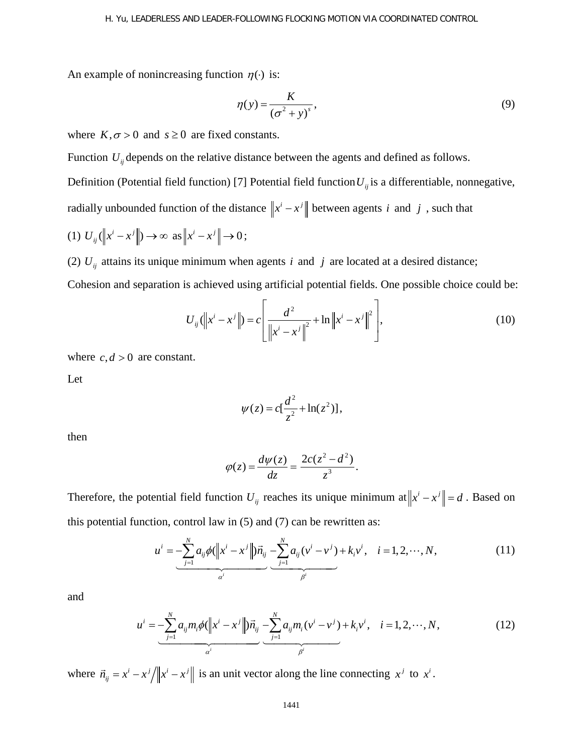An example of nonincreasing function  $\eta(\cdot)$  is:

$$
\eta(y) = \frac{K}{\left(\sigma^2 + y\right)^s},\tag{9}
$$

where  $K, \sigma > 0$  and  $s \ge 0$  are fixed constants.

Function  $U_{ii}$  depends on the relative distance between the agents and defined as follows.

Definition (Potential field function) [7] Potential field function  $U_{ii}$  is a differentiable, nonnegative,

radially unbounded function of the distance  $\left\|x^{i}-x^{j}\right\|$  between agents *i* and *j*, such that

$$
(1) U_{ij}(\left\|x^{i}-x^{j}\right\|) \to \infty \text{ as } \left\|x^{i}-x^{j}\right\| \to 0;
$$

(2)  $U_{ij}$  attains its unique minimum when agents *i* and *j* are located at a desired distance;

Cohesion and separation is achieved using artificial potential fields. One possible choice could be:

$$
U_{ij}(\left\|x^{i}-x^{j}\right\|)=c\left[\frac{d^{2}}{\left\|x^{i}-x^{j}\right\|^{2}}+\ln\left\|x^{i}-x^{j}\right\|^{2}\right],
$$
\n(10)

where  $c, d > 0$  are constant.

Let

$$
\psi(z) = c\left[\frac{d^2}{z^2} + \ln(z^2)\right],
$$

then

$$
\varphi(z) = \frac{d\psi(z)}{dz} = \frac{2c(z^2 - d^2)}{z^3}.
$$

Therefore, the potential field function  $U_{ij}$  reaches its unique minimum at  $||x^{i} - x^{j}|| = d$ . Based on this potential function, control law in (5) and (7) can be rewritten as:

$$
u^{i} = \underbrace{-\sum_{j=1}^{N} a_{ij} \phi(||x^{i} - x^{j}||) \vec{n}_{ij}}_{\alpha^{i}} - \underbrace{\sum_{j=1}^{N} a_{ij} (v^{i} - v^{j})}_{\beta^{i}} + k_{i} v^{i}, \quad i = 1, 2, \cdots, N,
$$
\n(11)

and

$$
u^{i} = \underbrace{-\sum_{j=1}^{N} a_{ij} m_{i} \phi (\left\| x^{i} - x^{j} \right\|) \vec{n}_{ij}}_{\alpha^{i}} - \underbrace{-\sum_{j=1}^{N} a_{ij} m_{i} (\nu^{i} - \nu^{j})}_{\beta^{i}} + k_{i} \nu^{i}, \quad i = 1, 2, \cdots, N,
$$
\n(12)

where  $\vec{n}_{ij} = x^i - x^j / ||x^i - x^j||$  is an unit vector along the line connecting  $x^j$  to  $x^i$ .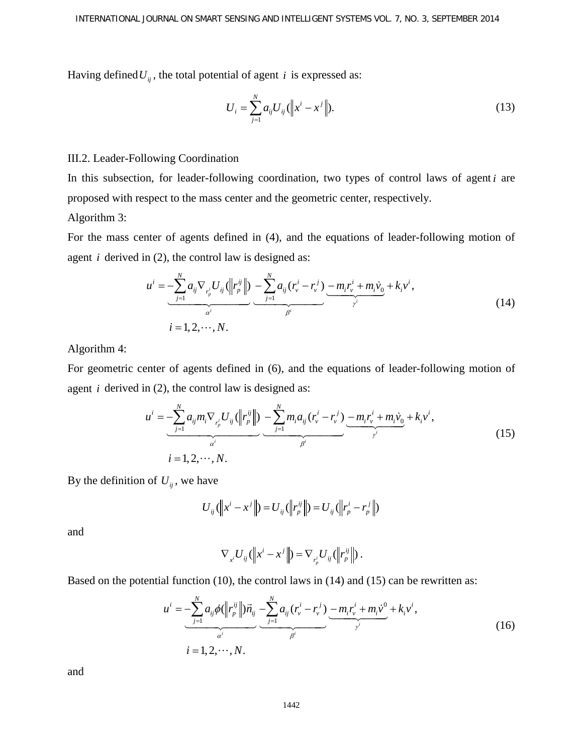Having defined  $U_{ij}$ , the total potential of agent *i* is expressed as:

$$
U_i = \sum_{j=1}^{N} a_{ij} U_{ij} (\|x^i - x^j\|). \tag{13}
$$

## III.2. Leader-Following Coordination

In this subsection, for leader-following coordination, two types of control laws of agent *i* are proposed with respect to the mass center and the geometric center, respectively. Algorithm 3:

For the mass center of agents defined in (4), and the equations of leader-following motion of agent *i* derived in (2), the control law is designed as:

$$
u^{i} = -\sum_{j=1}^{N} a_{ij} \nabla_{r_{p}^{i}} U_{ij} (||r_{p}^{ij}||) - \sum_{j=1}^{N} a_{ij} (r_{v}^{i} - r_{v}^{j}) - m_{i} r_{v}^{i} + m_{i} \dot{v}_{0} + k_{i} v^{i},
$$
  
\n
$$
i = 1, 2, \dots, N.
$$
\n(14)

Algorithm 4:

For geometric center of agents defined in (6), and the equations of leader-following motion of agent  $i$  derived in  $(2)$ , the control law is designed as:

$$
u^{i} = \underbrace{-\sum_{j=1}^{N} a_{ij} m_{i} \nabla_{r_{p}^{i}} U_{ij} (||r_{p}^{ij}||)}_{\alpha^{i}} - \underbrace{-\sum_{j=1}^{N} m_{i} a_{ij} (r_{v}^{i} - r_{v}^{j})}_{\beta^{i}} - \underbrace{m_{i} r_{v}^{i} + m_{i} v_{0}}_{\gamma^{i}} + k_{i} v^{i},
$$
\n
$$
i = 1, 2, \cdots, N.
$$
\n(15)

By the definition of  $U_{ii}$ , we have

$$
U_{ij}(\left||x^{i}-x^{j}\right||)=U_{ij}(\left||r_{p}^{ij}\right||)=U_{ij}(\left||r_{p}^{i}-r_{p}^{j}\right||)
$$

and

$$
\nabla_{x'} U_{ij} (||x^i - x^j||) = \nabla_{r_p^i} U_{ij} (||r_p^{ij}||).
$$

Based on the potential function (10), the control laws in (14) and (15) can be rewritten as:

$$
u^{i} = -\sum_{j=1}^{N} a_{ij} \phi(||r_{p}^{ij}||)\vec{n}_{ij} - \sum_{j=1}^{N} a_{ij} (r_{v}^{i} - r_{v}^{j}) - m_{i}r_{v}^{i} + m_{i}\dot{v}^{0} + k_{i}v^{i},
$$
  
\n
$$
i = 1, 2, \dots, N.
$$
\n(16)

and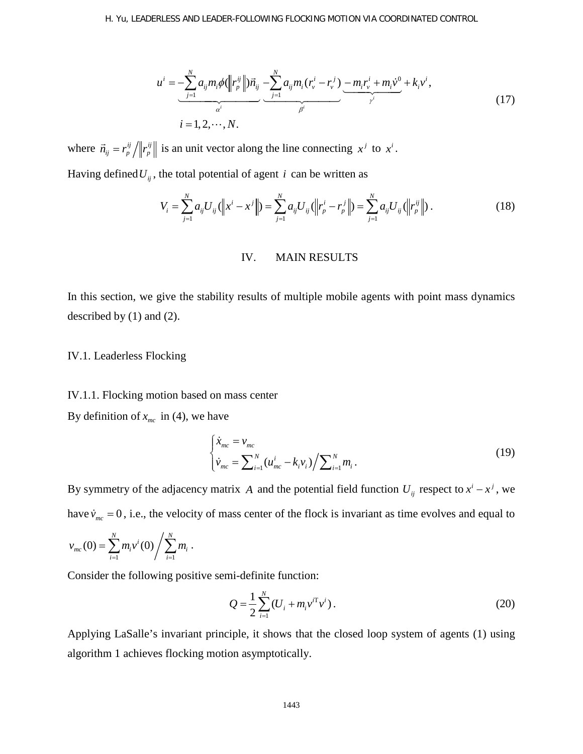$$
u^{i} = \underbrace{-\sum_{j=1}^{N} a_{ij} m_{i} \phi(||r_{p}^{ij}||)\vec{n}_{ij}}_{\alpha^{i}} - \underbrace{\sum_{j=1}^{N} a_{ij} m_{i} (r_{v}^{i} - r_{v}^{j})}_{\beta^{i}} - \underbrace{m_{i} r_{v}^{i} + m_{i} v^{0}}_{\gamma^{i}} + k_{i} v^{i},
$$
\n
$$
i = 1, 2, \cdots, N.
$$
\n(17)

where  $\vec{n}_{ij} = r_p^{ij} / ||r_p^{ij}||$  is an unit vector along the line connecting  $x^j$  to  $x^i$ . Having defined  $U_{ij}$ , the total potential of agent *i* can be written as

$$
V_i = \sum_{j=1}^{N} a_{ij} U_{ij} (||x^i - x^j||) = \sum_{j=1}^{N} a_{ij} U_{ij} (||r_p^i - r_p^j||) = \sum_{j=1}^{N} a_{ij} U_{ij} (||r_p^j||).
$$
 (18)

## IV. MAIN RESULTS

In this section, we give the stability results of multiple mobile agents with point mass dynamics described by (1) and (2).

## IV.1. Leaderless Flocking

#### IV.1.1. Flocking motion based on mass center

By definition of  $x_{mc}$  in (4), we have

$$
\begin{cases} \dot{x}_{mc} = v_{mc} \\ \dot{v}_{mc} = \sum_{i=1}^{N} (u_{mc}^{i} - k_{i}v_{i}) / \sum_{i=1}^{N} m_{i} \,. \end{cases} \tag{19}
$$

By symmetry of the adjacency matrix *A* and the potential field function  $U_{ij}$  respect to  $x^{i} - x^{j}$ , we have  $\dot{v}_{mc} = 0$ , i.e., the velocity of mass center of the flock is invariant as time evolves and equal to

$$
v_{mc}(0) = \sum_{i=1}^{N} m_i v^i(0) / \sum_{i=1}^{N} m_i.
$$

Consider the following positive semi-definite function:

$$
Q = \frac{1}{2} \sum_{i=1}^{N} (U_i + m_i v^{i\top} v^i).
$$
 (20)

Applying LaSalle's invariant principle, it shows that the closed loop system of agents (1) using algorithm 1 achieves flocking motion asymptotically.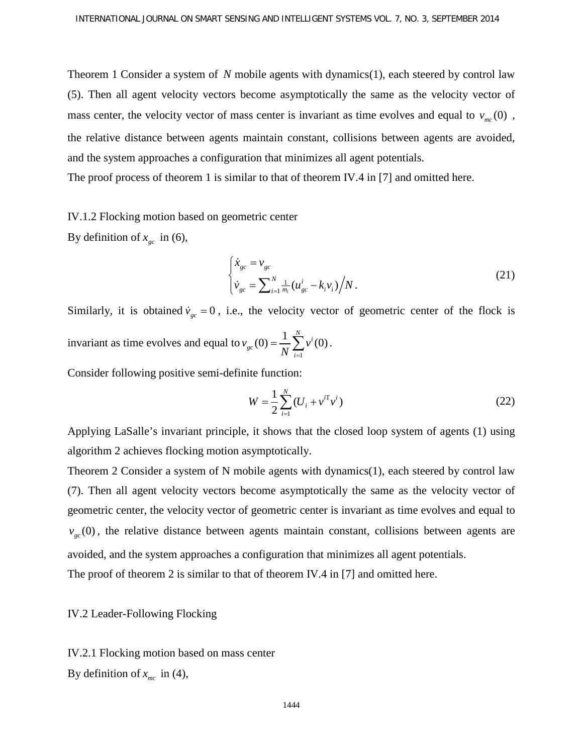Theorem 1 Consider a system of *N* mobile agents with dynamics(1), each steered by control law (5). Then all agent velocity vectors become asymptotically the same as the velocity vector of mass center, the velocity vector of mass center is invariant as time evolves and equal to  $v_{mc}(0)$ , the relative distance between agents maintain constant, collisions between agents are avoided, and the system approaches a configuration that minimizes all agent potentials.

The proof process of theorem 1 is similar to that of theorem IV.4 in [7] and omitted here.

IV.1.2 Flocking motion based on geometric center

By definition of  $x_{gc}$  in (6),

$$
\begin{cases} \dot{x}_{gc} = v_{gc} \\ \dot{v}_{gc} = \sum_{i=1}^{N} \frac{1}{m_i} (u_{gc}^i - k_i v_i) / N. \end{cases}
$$
 (21)

Similarly, it is obtained  $\dot{v}_{gc} = 0$ , i.e., the velocity vector of geometric center of the flock is invariant as time evolves and equal to 1  $(0) = \frac{1}{N} \sum_{i=1}^{N} v^{i}(0)$ *gc i*  $v_{gc}(0) = \frac{1}{N} \sum v$  $=\frac{1}{N}\sum_{i=1}^{N}v^{i}(0).$ 

Consider following positive semi-definite function:

$$
W = \frac{1}{2} \sum_{i=1}^{N} (U_i + v^{i\mathrm{T}} v^i)
$$
 (22)

Applying LaSalle's invariant principle, it shows that the closed loop system of agents (1) using algorithm 2 achieves flocking motion asymptotically.

Theorem 2 Consider a system of N mobile agents with dynamics(1), each steered by control law (7). Then all agent velocity vectors become asymptotically the same as the velocity vector of geometric center, the velocity vector of geometric center is invariant as time evolves and equal to  $v_{gc}(0)$ , the relative distance between agents maintain constant, collisions between agents are avoided, and the system approaches a configuration that minimizes all agent potentials. The proof of theorem 2 is similar to that of theorem IV.4 in [7] and omitted here.

## IV.2 Leader-Following Flocking

IV.2.1 Flocking motion based on mass center By definition of  $x_{mc}$  in (4),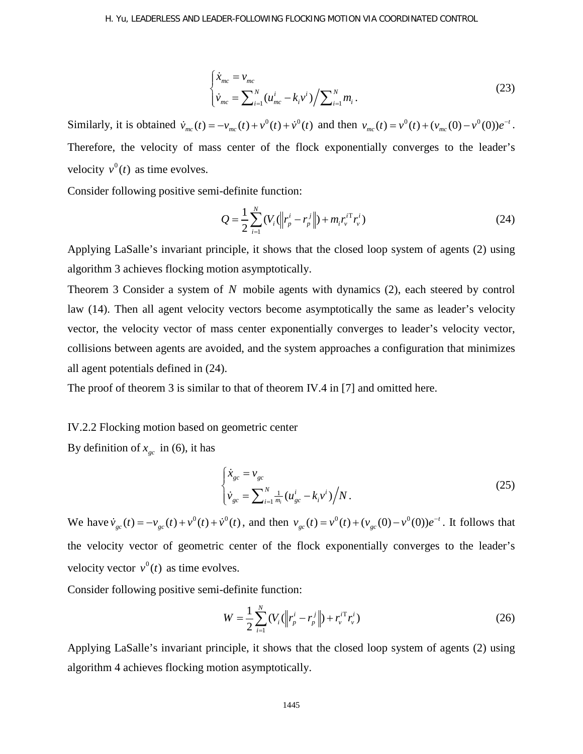$$
\begin{cases} \dot{x}_{mc} = v_{mc} \\ \dot{v}_{mc} = \sum_{i=1}^{N} (u_{mc}^{i} - k_{i} v^{i}) / \sum_{i=1}^{N} m_{i} \,. \end{cases} \tag{23}
$$

Similarly, it is obtained  $\dot{v}_{mc}(t) = -v_{mc}(t) + v^0(t) + \dot{v}^0(t)$  and then  $v_{mc}(t) = v^0(t) + (v_{mc}(0) - v^0(0))e^{-t}$ . Therefore, the velocity of mass center of the flock exponentially converges to the leader's velocity  $v^0(t)$  as time evolves.

Consider following positive semi-definite function:

$$
Q = \frac{1}{2} \sum_{i=1}^{N} (V_i (\left\| r_p^i - r_p^j \right\|) + m_i r_v^{i \mathrm{T}} r_v^i)
$$
 (24)

Applying LaSalle's invariant principle, it shows that the closed loop system of agents (2) using algorithm 3 achieves flocking motion asymptotically.

Theorem 3 Consider a system of *N* mobile agents with dynamics (2), each steered by control law (14). Then all agent velocity vectors become asymptotically the same as leader's velocity vector, the velocity vector of mass center exponentially converges to leader's velocity vector, collisions between agents are avoided, and the system approaches a configuration that minimizes all agent potentials defined in (24).

The proof of theorem 3 is similar to that of theorem IV.4 in [7] and omitted here.

## IV.2.2 Flocking motion based on geometric center

By definition of  $x_{gc}$  in (6), it has

$$
\begin{cases} \dot{x}_{gc} = v_{gc} \\ \dot{v}_{gc} = \sum_{i=1}^{N} \frac{1}{m_i} (u_{gc}^i - k_i v^i) / N. \end{cases}
$$
 (25)

We have  $\dot{v}_{gc}(t) = -v_{gc}(t) + v^{0}(t) + \dot{v}^{0}(t)$ , and then  $v_{gc}(t) = v^{0}(t) + (v_{gc}(0) - v^{0}(0))e^{-t}$ . It follows that the velocity vector of geometric center of the flock exponentially converges to the leader's velocity vector  $v^0(t)$  as time evolves.

Consider following positive semi-definite function:

$$
W = \frac{1}{2} \sum_{i=1}^{N} (V_i (\left\| r_p^i - r_p^j \right\|) + r_v^{i \mathrm{T}} r_v^i)
$$
 (26)

Applying LaSalle's invariant principle, it shows that the closed loop system of agents (2) using algorithm 4 achieves flocking motion asymptotically.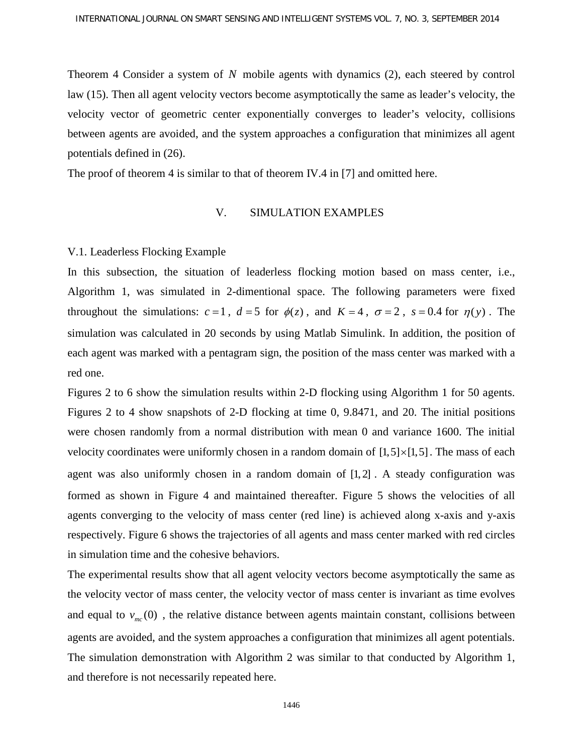Theorem 4 Consider a system of *N* mobile agents with dynamics (2), each steered by control law (15). Then all agent velocity vectors become asymptotically the same as leader's velocity, the velocity vector of geometric center exponentially converges to leader's velocity, collisions between agents are avoided, and the system approaches a configuration that minimizes all agent potentials defined in (26).

The proof of theorem 4 is similar to that of theorem IV.4 in [7] and omitted here.

#### V. SIMULATION EXAMPLES

#### V.1. Leaderless Flocking Example

In this subsection, the situation of leaderless flocking motion based on mass center, i.e., Algorithm 1, was simulated in 2-dimentional space. The following parameters were fixed throughout the simulations:  $c = 1$ ,  $d = 5$  for  $\phi(z)$ , and  $K = 4$ ,  $\sigma = 2$ ,  $s = 0.4$  for  $\eta(y)$ . The simulation was calculated in 20 seconds by using Matlab Simulink. In addition, the position of each agent was marked with a pentagram sign, the position of the mass center was marked with a red one.

Figures 2 to 6 show the simulation results within 2-D flocking using Algorithm 1 for 50 agents. Figures 2 to 4 show snapshots of 2-D flocking at time 0, 9.8471, and 20. The initial positions were chosen randomly from a normal distribution with mean 0 and variance 1600. The initial velocity coordinates were uniformly chosen in a random domain of  $[1,5] \times [1,5]$ . The mass of each agent was also uniformly chosen in a random domain of  $[1, 2]$ . A steady configuration was formed as shown in Figure 4 and maintained thereafter. Figure 5 shows the velocities of all agents converging to the velocity of mass center (red line) is achieved along x-axis and y-axis respectively. Figure 6 shows the trajectories of all agents and mass center marked with red circles in simulation time and the cohesive behaviors.

The experimental results show that all agent velocity vectors become asymptotically the same as the velocity vector of mass center, the velocity vector of mass center is invariant as time evolves and equal to  $v_{mc}(0)$ , the relative distance between agents maintain constant, collisions between agents are avoided, and the system approaches a configuration that minimizes all agent potentials. The simulation demonstration with Algorithm 2 was similar to that conducted by Algorithm 1, and therefore is not necessarily repeated here.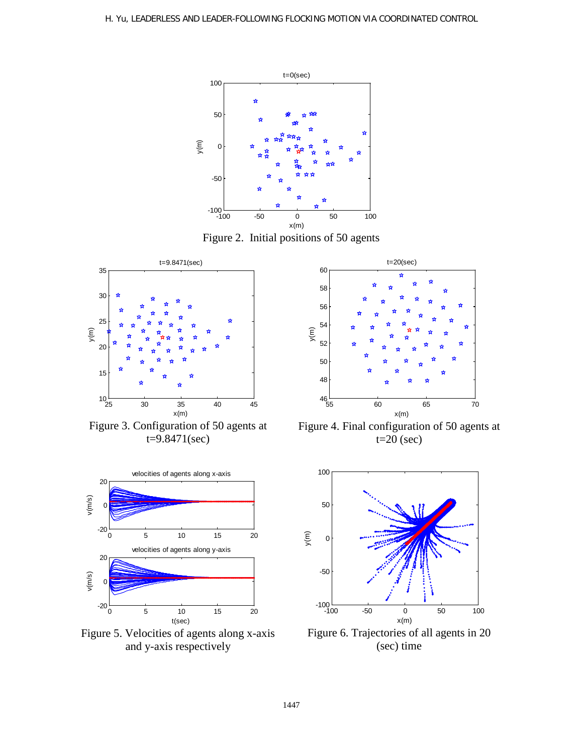

Figure 2. Initial positions of 50 agents



Figure 3. Configuration of 50 agents at t=9.8471(sec)



Figure 5. Velocities of agents along x-axis and y-axis respectively



Figure 4. Final configuration of 50 agents at  $t=20$  (sec)



Figure 6. Trajectories of all agents in 20 (sec) time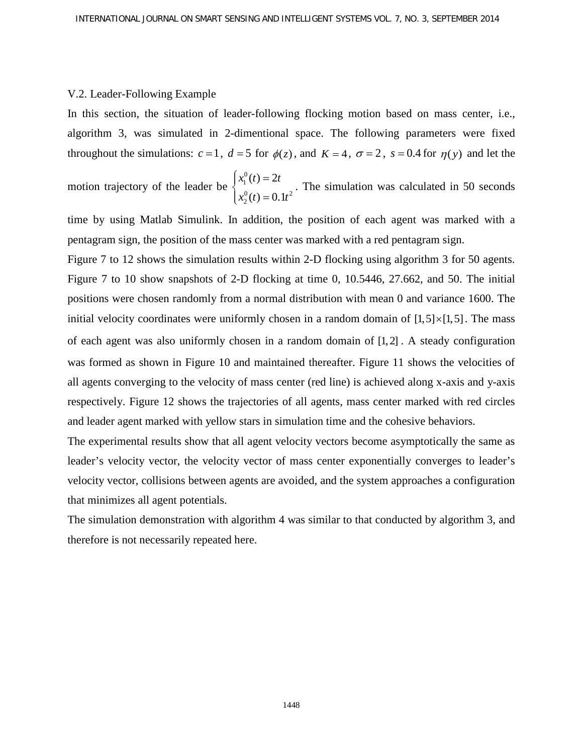#### V.2. Leader-Following Example

In this section, the situation of leader-following flocking motion based on mass center, i.e., algorithm 3, was simulated in 2-dimentional space. The following parameters were fixed throughout the simulations:  $c = 1$ ,  $d = 5$  for  $\phi(z)$ , and  $K = 4$ ,  $\sigma = 2$ ,  $s = 0.4$  for  $\eta(y)$  and let the

motion trajectory of the leader be 0 1  $0^{(4)} - 0.14^{2}$ 2  $(t) = 2$  $(t) = 0.1$  $x_1^0(t) = 2t$  $x_2^0(t) = 0.1t$  $\begin{cases} x_1^0(t) = \\ 0 \end{cases}$  $\begin{cases} x_1^{0}(t) = 0.1t^2 \end{cases}$ . The simulation was calculated in 50 seconds

time by using Matlab Simulink. In addition, the position of each agent was marked with a pentagram sign, the position of the mass center was marked with a red pentagram sign.

Figure 7 to 12 shows the simulation results within 2-D flocking using algorithm 3 for 50 agents. Figure 7 to 10 show snapshots of 2-D flocking at time 0, 10.5446, 27.662, and 50. The initial positions were chosen randomly from a normal distribution with mean 0 and variance 1600. The initial velocity coordinates were uniformly chosen in a random domain of  $[1,5] \times [1,5]$ . The mass of each agent was also uniformly chosen in a random domain of [1, 2] . A steady configuration was formed as shown in Figure 10 and maintained thereafter. Figure 11 shows the velocities of all agents converging to the velocity of mass center (red line) is achieved along x-axis and y-axis respectively. Figure 12 shows the trajectories of all agents, mass center marked with red circles and leader agent marked with yellow stars in simulation time and the cohesive behaviors.

The experimental results show that all agent velocity vectors become asymptotically the same as leader's velocity vector, the velocity vector of mass center exponentially converges to leader's velocity vector, collisions between agents are avoided, and the system approaches a configuration that minimizes all agent potentials.

The simulation demonstration with algorithm 4 was similar to that conducted by algorithm 3, and therefore is not necessarily repeated here.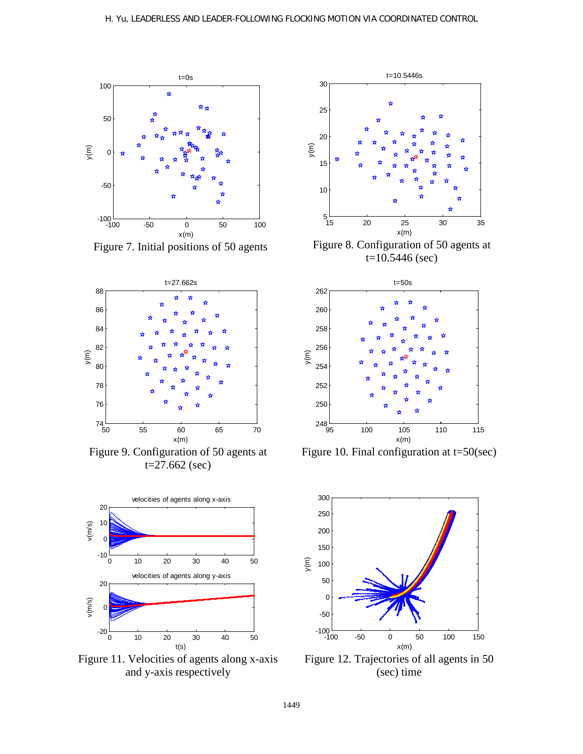

Figure 7. Initial positions of 50 agents



Figure 9. Configuration of 50 agents at  $t=27.662$  (sec)



Figure 11. Velocities of agents along x-axis and y-axis respectively



Figure 8. Configuration of 50 agents at  $t=10.5446$  (sec)



Figure 10. Final configuration at t=50(sec)



Figure 12. Trajectories of all agents in 50 (sec) time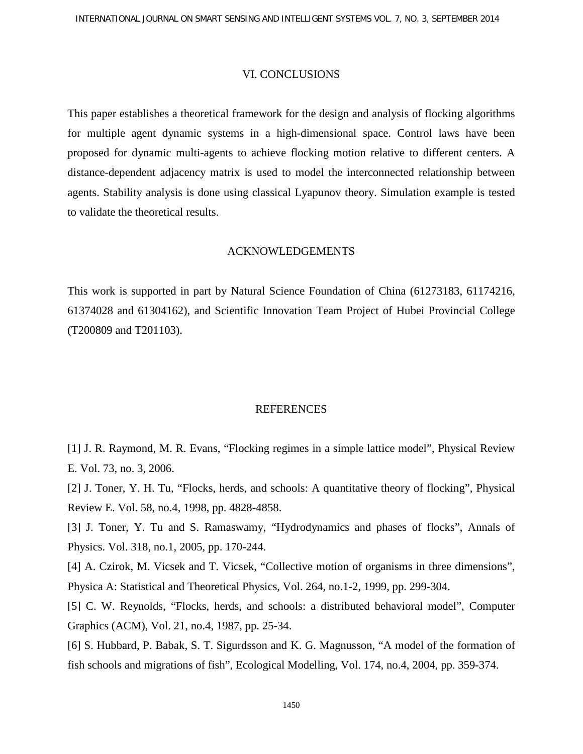#### VI. CONCLUSIONS

This paper establishes a theoretical framework for the design and analysis of flocking algorithms for multiple agent dynamic systems in a high-dimensional space. Control laws have been proposed for dynamic multi-agents to achieve flocking motion relative to different centers. A distance-dependent adjacency matrix is used to model the interconnected relationship between agents. Stability analysis is done using classical Lyapunov theory. Simulation example is tested to validate the theoretical results.

### ACKNOWLEDGEMENTS

This work is supported in part by Natural Science Foundation of China (61273183, 61174216, 61374028 and 61304162), and Scientific Innovation Team Project of Hubei Provincial College (T200809 and T201103).

## **REFERENCES**

[1] J. R. Raymond, M. R. Evans, "Flocking regimes in a simple lattice model", Physical Review E. Vol. 73, no. 3, 2006.

[2] J. Toner, Y. H. Tu, "Flocks, herds, and schools: A quantitative theory of flocking", Physical Review E. Vol. 58, no.4, 1998, pp. 4828-4858.

[3] J. Toner, Y. Tu and S. Ramaswamy, "Hydrodynamics and phases of flocks", Annals of Physics. Vol. 318, no.1, 2005, pp. 170-244.

[4] A. Czirok, M. Vicsek and T. Vicsek, "Collective motion of organisms in three dimensions", Physica A: Statistical and Theoretical Physics, Vol. 264, no.1-2, 1999, pp. 299-304.

[5] C. W. Reynolds, "Flocks, herds, and schools: a distributed behavioral model", Computer Graphics (ACM), Vol. 21, no.4, 1987, pp. 25-34.

[6] S. Hubbard, P. Babak, S. T. Sigurdsson and K. G. Magnusson, "A model of the formation of fish schools and migrations of fish", Ecological Modelling, Vol. 174, no.4, 2004, pp. 359-374.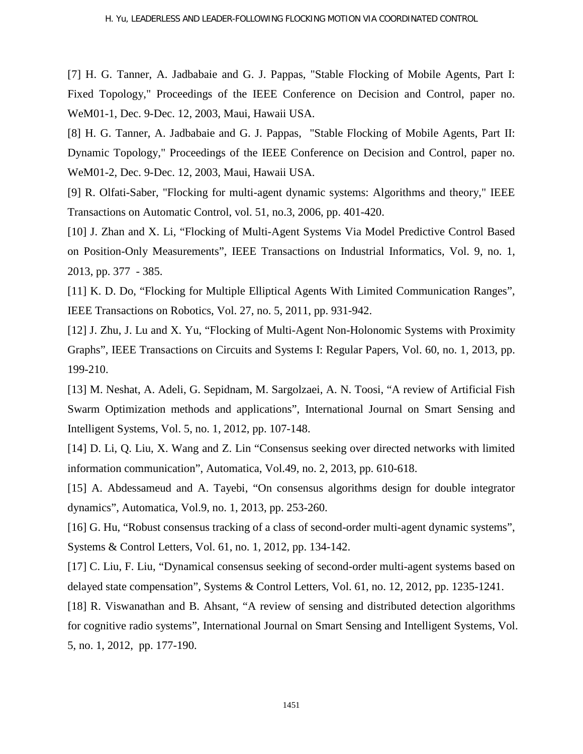[7] H. G. Tanner, A. Jadbabaie and G. J. Pappas, "Stable Flocking of Mobile Agents, Part I: Fixed Topology," Proceedings of the IEEE Conference on Decision and Control, paper no. WeM01-1, Dec. 9-Dec. 12, 2003, Maui, Hawaii USA.

[8] H. G. Tanner, A. Jadbabaie and G. J. Pappas, "Stable Flocking of Mobile Agents, Part II: Dynamic Topology," Proceedings of the IEEE Conference on Decision and Control, paper no. WeM01-2, Dec. 9-Dec. 12, 2003, Maui, Hawaii USA.

[9] R. Olfati-Saber, "Flocking for multi-agent dynamic systems: Algorithms and theory," IEEE Transactions on Automatic Control, vol. 51, no.3, 2006, pp. 401-420.

[10] J. Zhan and X. Li, "Flocking of Multi-Agent Systems Via Model Predictive Control Based on Position-Only Measurements", IEEE Transactions on Industrial Informatics, Vol. 9, no. 1, 2013, pp. 377 - 385.

[11] K. D. Do, "Flocking for Multiple Elliptical Agents With Limited Communication Ranges", IEEE Transactions on Robotics, Vol. 27, no. 5, 2011, pp. 931-942.

[12] J. Zhu, J. Lu and X. Yu, "Flocking of Multi-Agent Non-Holonomic Systems with Proximity Graphs", IEEE Transactions on Circuits and Systems I: Regular Papers, Vol. 60, no. 1, 2013, pp. 199-210.

[13] M. Neshat, A. Adeli, G. Sepidnam, M. Sargolzaei, A. N. Toosi, "A review of Artificial Fish Swarm Optimization methods and applications", International Journal on Smart Sensing and Intelligent Systems, Vol. 5, no. 1, 2012, pp. 107-148.

[14] D. Li, Q. Liu, X. Wang and Z. Lin "Consensus seeking over directed networks with limited information communication", Automatica, Vol.49, no. 2, 2013, pp. 610-618.

[15] A. Abdessameud and A. Tayebi, "On consensus algorithms design for double integrator dynamics", Automatica, Vol.9, no. 1, 2013, pp. 253-260.

[16] G. Hu, "Robust consensus tracking of a class of second-order multi-agent dynamic systems", Systems & Control Letters, Vol. 61, no. 1, 2012, pp. 134-142.

[17] C. Liu, F. Liu, "Dynamical consensus seeking of second-order multi-agent systems based on delayed state compensation", Systems & Control Letters, Vol. 61, no. 12, 2012, pp. 1235-1241.

[18] R. Viswanathan and B. Ahsant, "A review of sensing and distributed detection algorithms for cognitive radio systems", International Journal on Smart Sensing and Intelligent Systems, Vol. 5, no. 1, 2012, pp. 177-190.